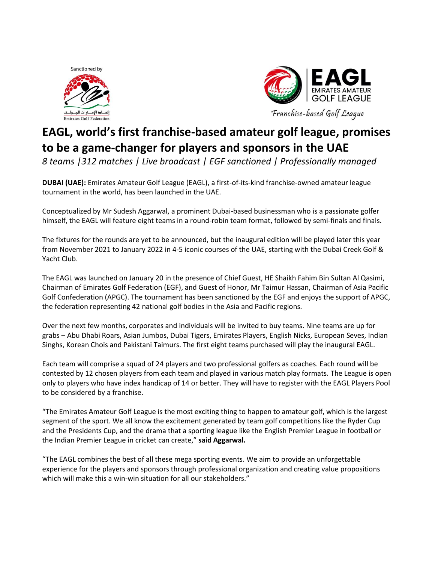



## **EAGL, world's first franchise-based amateur golf league, promises to be a game-changer for players and sponsors in the UAE**

*8 teams |312 matches | Live broadcast | EGF sanctioned | Professionally managed*

**DUBAI (UAE):** Emirates Amateur Golf League (EAGL), a first-of-its-kind franchise-owned amateur league tournament in the world, has been launched in the UAE.

Conceptualized by Mr Sudesh Aggarwal, a prominent Dubai-based businessman who is a passionate golfer himself, the EAGL will feature eight teams in a round-robin team format, followed by semi-finals and finals.

The fixtures for the rounds are yet to be announced, but the inaugural edition will be played later this year from November 2021 to January 2022 in 4-5 iconic courses of the UAE, starting with the Dubai Creek Golf & Yacht Club.

The EAGL was launched on January 20 in the presence of Chief Guest, HE Shaikh Fahim Bin Sultan Al Qasimi, Chairman of Emirates Golf Federation (EGF), and Guest of Honor, Mr Taimur Hassan, Chairman of Asia Pacific Golf Confederation (APGC). The tournament has been sanctioned by the EGF and enjoys the support of APGC, the federation representing 42 national golf bodies in the Asia and Pacific regions.

Over the next few months, corporates and individuals will be invited to buy teams. Nine teams are up for grabs – Abu Dhabi Roars, Asian Jumbos, Dubai Tigers, Emirates Players, English Nicks, European Seves, Indian Singhs, Korean Chois and Pakistani Taimurs. The first eight teams purchased will play the inaugural EAGL.

Each team will comprise a squad of 24 players and two professional golfers as coaches. Each round will be contested by 12 chosen players from each team and played in various match play formats. The League is open only to players who have index handicap of 14 or better. They will have to register with the EAGL Players Pool to be considered by a franchise.

"The Emirates Amateur Golf League is the most exciting thing to happen to amateur golf, which is the largest segment of the sport. We all know the excitement generated by team golf competitions like the Ryder Cup and the Presidents Cup, and the drama that a sporting league like the English Premier League in football or the Indian Premier League in cricket can create," **said Aggarwal.**

"The EAGL combines the best of all these mega sporting events. We aim to provide an unforgettable experience for the players and sponsors through professional organization and creating value propositions which will make this a win-win situation for all our stakeholders."